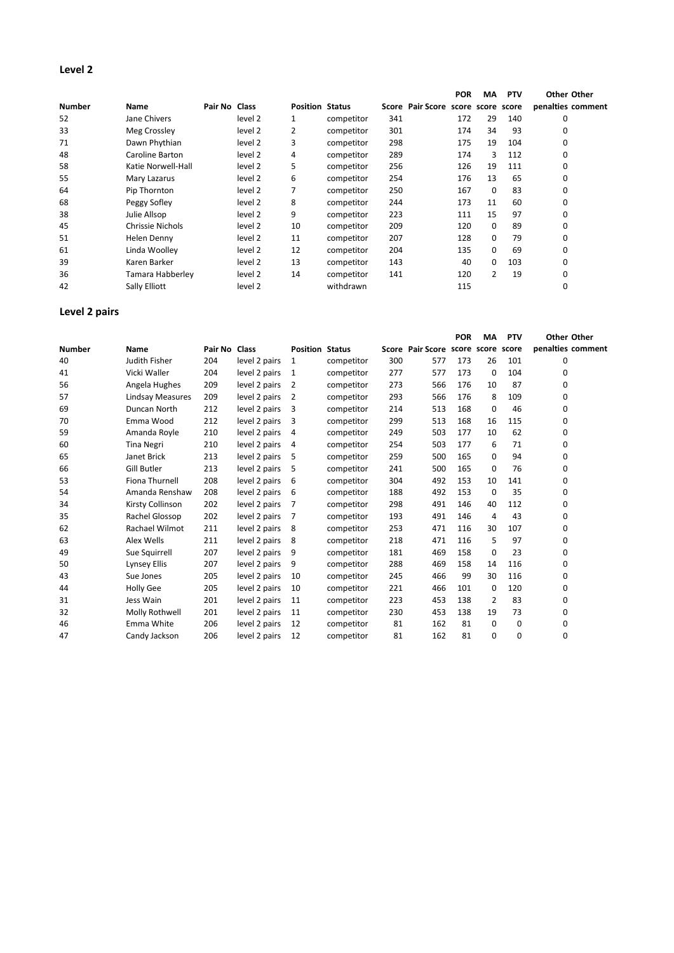# **Level 2**

|               |                    |               |         |                        |            |     |                                    | <b>POR</b> | MA       | <b>PTV</b> | Other Other       |
|---------------|--------------------|---------------|---------|------------------------|------------|-----|------------------------------------|------------|----------|------------|-------------------|
| <b>Number</b> | Name               | Pair No Class |         | <b>Position Status</b> |            |     | Score Pair Score score score score |            |          |            | penalties comment |
| 52            | Jane Chivers       |               | level 2 |                        | competitor | 341 |                                    | 172        | 29       | 140        | 0                 |
| 33            | Meg Crossley       |               | level 2 | 2                      | competitor | 301 |                                    | 174        | 34       | 93         | 0                 |
| 71            | Dawn Phythian      |               | level 2 | 3                      | competitor | 298 |                                    | 175        | 19       | 104        | 0                 |
| 48            | Caroline Barton    |               | level 2 | 4                      | competitor | 289 |                                    | 174        | 3        | 112        | 0                 |
| 58            | Katie Norwell-Hall |               | level 2 | 5                      | competitor | 256 |                                    | 126        | 19       | 111        | 0                 |
| 55            | Mary Lazarus       |               | level 2 | 6                      | competitor | 254 |                                    | 176        | 13       | 65         | 0                 |
| 64            | Pip Thornton       |               | level 2 | 7                      | competitor | 250 |                                    | 167        | $\Omega$ | 83         | 0                 |
| 68            | Peggy Sofley       |               | level 2 | 8                      | competitor | 244 |                                    | 173        | 11       | 60         | 0                 |
| 38            | Julie Allsop       |               | level 2 | 9                      | competitor | 223 |                                    | 111        | 15       | 97         | 0                 |
| 45            | Chrissie Nichols   |               | level 2 | 10                     | competitor | 209 |                                    | 120        | 0        | 89         | 0                 |
| 51            | Helen Denny        |               | level 2 | 11                     | competitor | 207 |                                    | 128        | 0        | 79         | 0                 |
| 61            | Linda Woolley      |               | level 2 | 12                     | competitor | 204 |                                    | 135        | 0        | 69         | 0                 |
| 39            | Karen Barker       |               | level 2 | 13                     | competitor | 143 |                                    | 40         | 0        | 103        | 0                 |
| 36            | Tamara Habberley   |               | level 2 | 14                     | competitor | 141 |                                    | 120        | 2        | 19         | 0                 |
| 42            | Sally Elliott      |               | level 2 |                        | withdrawn  |     |                                    | 115        |          |            | 0                 |

## **Level 2 pairs**

|               |                         |               |               |                        |            |     |                              | <b>POR</b> | MА             | <b>PTV</b> | Other Other       |
|---------------|-------------------------|---------------|---------------|------------------------|------------|-----|------------------------------|------------|----------------|------------|-------------------|
| <b>Number</b> | Name                    | Pair No Class |               | <b>Position Status</b> |            |     | Score Pair Score score score |            |                | score      | penalties comment |
| 40            | Judith Fisher           | 204           | level 2 pairs | 1                      | competitor | 300 | 577                          | 173        | 26             | 101        | 0                 |
| 41            | Vicki Waller            | 204           | level 2 pairs | 1                      | competitor | 277 | 577                          | 173        | $\mathbf 0$    | 104        | 0                 |
| 56            | Angela Hughes           | 209           | level 2 pairs | 2                      | competitor | 273 | 566                          | 176        | 10             | 87         | 0                 |
| 57            | <b>Lindsay Measures</b> | 209           | level 2 pairs | $\overline{2}$         | competitor | 293 | 566                          | 176        | 8              | 109        | 0                 |
| 69            | Duncan North            | 212           | level 2 pairs | 3                      | competitor | 214 | 513                          | 168        | $\mathbf 0$    | 46         | 0                 |
| 70            | Emma Wood               | 212           | level 2 pairs | 3                      | competitor | 299 | 513                          | 168        | 16             | 115        | 0                 |
| 59            | Amanda Royle            | 210           | level 2 pairs | 4                      | competitor | 249 | 503                          | 177        | 10             | 62         | 0                 |
| 60            | <b>Tina Negri</b>       | 210           | level 2 pairs | 4                      | competitor | 254 | 503                          | 177        | 6              | 71         | 0                 |
| 65            | Janet Brick             | 213           | level 2 pairs | 5                      | competitor | 259 | 500                          | 165        | 0              | 94         | 0                 |
| 66            | <b>Gill Butler</b>      | 213           | level 2 pairs | 5                      | competitor | 241 | 500                          | 165        | 0              | 76         | 0                 |
| 53            | <b>Fiona Thurnell</b>   | 208           | level 2 pairs | 6                      | competitor | 304 | 492                          | 153        | 10             | 141        | 0                 |
| 54            | Amanda Renshaw          | 208           | level 2 pairs | 6                      | competitor | 188 | 492                          | 153        | 0              | 35         | 0                 |
| 34            | Kirsty Collinson        | 202           | level 2 pairs | 7                      | competitor | 298 | 491                          | 146        | 40             | 112        | 0                 |
| 35            | Rachel Glossop          | 202           | level 2 pairs | 7                      | competitor | 193 | 491                          | 146        | 4              | 43         | 0                 |
| 62            | Rachael Wilmot          | 211           | level 2 pairs | 8                      | competitor | 253 | 471                          | 116        | 30             | 107        | 0                 |
| 63            | Alex Wells              | 211           | level 2 pairs | 8                      | competitor | 218 | 471                          | 116        | 5              | 97         | 0                 |
| 49            | Sue Squirrell           | 207           | level 2 pairs | 9                      | competitor | 181 | 469                          | 158        | 0              | 23         | 0                 |
| 50            | <b>Lynsey Ellis</b>     | 207           | level 2 pairs | 9                      | competitor | 288 | 469                          | 158        | 14             | 116        | 0                 |
| 43            | Sue Jones               | 205           | level 2 pairs | 10                     | competitor | 245 | 466                          | 99         | 30             | 116        | 0                 |
| 44            | <b>Holly Gee</b>        | 205           | level 2 pairs | 10                     | competitor | 221 | 466                          | 101        | 0              | 120        | 0                 |
| 31            | Jess Wain               | 201           | level 2 pairs | 11                     | competitor | 223 | 453                          | 138        | $\overline{2}$ | 83         | 0                 |
| 32            | Molly Rothwell          | 201           | level 2 pairs | 11                     | competitor | 230 | 453                          | 138        | 19             | 73         | 0                 |
| 46            | Emma White              | 206           | level 2 pairs | 12                     | competitor | 81  | 162                          | 81         | 0              | 0          | 0                 |
| 47            | Candy Jackson           | 206           | level 2 pairs | 12                     | competitor | 81  | 162                          | 81         | 0              | 0          | 0                 |